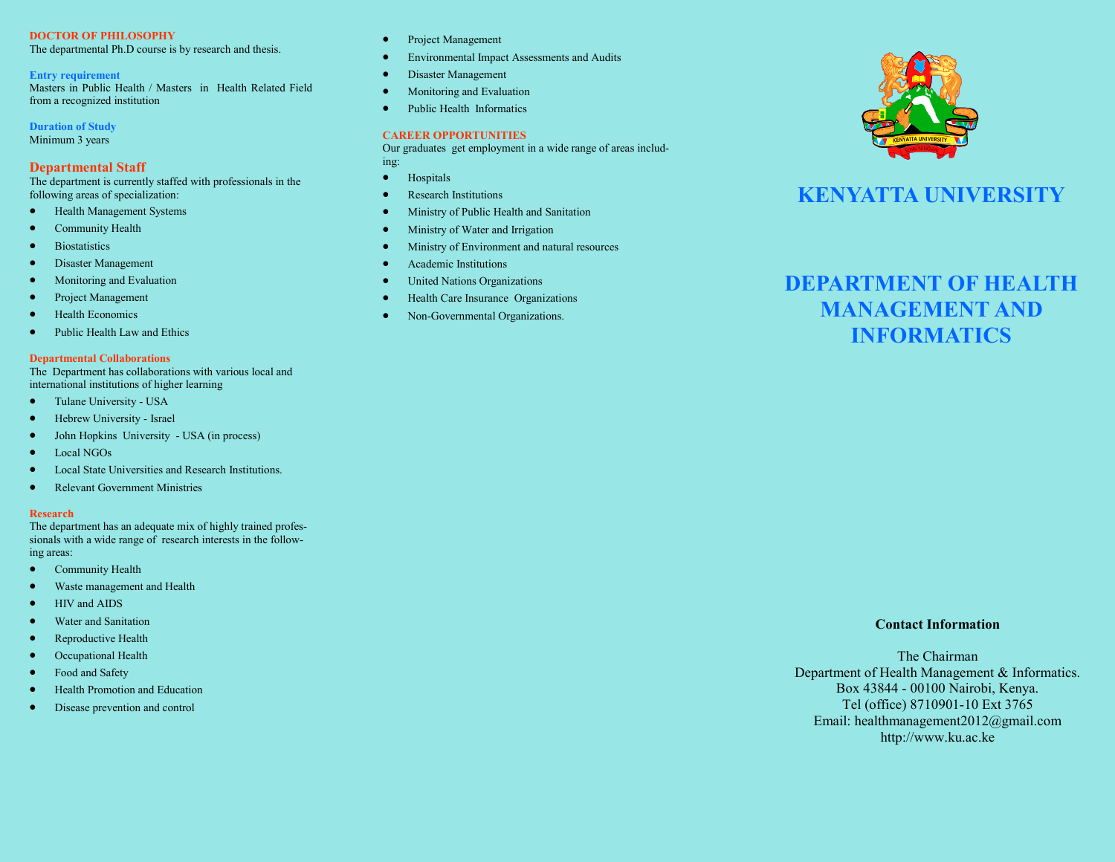# **DOCTOR OF PHILOSOPHY**

The departmental Ph.D course is by research and thesis.

### **Entry requirement**

Masters in Public Health / Masters in Health Related Field from a recognized institution

**Duration of Study** Minimum 3 years

# **Departmental Staff**

The department is currently staffed with professionals in the following areas of specialization:

- Health Management Systems
- Community Health
- **•** Biostatistics
- Disaster Management
- Monitoring and Evaluation
- Project Management
- Health Economics
- Public Health Law and Ethics

### **Departmental Collaborations**

The Department has collaborations with various local and international institutions of higher learning

- Tulane University USA
- Hebrew University Israel
- John Hopkins University USA (in process)
- Local NGOs
- Local State Universities and Research Institutions.
- Relevant Government Ministries

## **Research**

The department has an adequate mix of highly trained professionals with a wide range of research interests in the following areas:

- Community Health
- Waste management and Health
- HIV and AIDS
- Water and Sanitation
- Reproductive Health
- Occupational Health
- Food and Safety
- Health Promotion and Education
- Disease prevention and control
- Project Management
- Environmental Impact Assessments and Audits
- **•** Disaster Management
- Monitoring and Evaluation
- Public Health Informatics

# **CAREER OPPORTUNITIES**

Our graduates get employment in a wide range of areas including:

- **•** Hospitals
- Research Institutions
- Ministry of Public Health and Sanitation
- Ministry of Water and Irrigation
- Ministry of Environment and natural resources
- Academic Institutions
- United Nations Organizations
- Health Care Insurance Organizations
- Non-Governmental Organizations.



# **KENYATTA UNIVERSITY**

# **DEPARTMENT OF HEALTH MANAGEMENT AND INFORMATICS**

## **Contact Information**

The Chairman Department of Health Management & Informatics. Box 43844 - 00100 Nairobi, Kenya. Tel (office) 8710901-10 Ext 3765 Email: healthmanagement2012@gmail.com http://www.ku.ac.ke